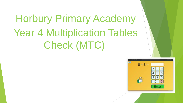# Horbury Primary Academy Year 4 Multiplication Tables Check (MTC)

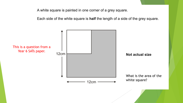A white square is painted in one corner of a grey square.

Each side of the white square is half the length of a side of the grey square.

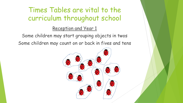#### Reception and Year 1

Some children may start grouping objects in twos Some children may count on or back in fives and tens

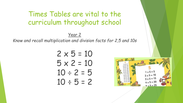#### Year 2

*Know and recall multiplication and division facts for 2,5 and 10s*

$$
2 \times 5 = 10
$$
  
\n $5 \times 2 = 10$   
\n $10 \div 2 = 5$   
\n $10 \div 5 = 2$ 

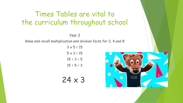#### Year 3

*Know and recall multiplication and division facts for 3, 4 and 8*

| $3 \times 5 = 15$ |
|-------------------|
| $5 \times 3 = 15$ |
| $15 \div 3 = 5$   |
| $15 \div 5 = 3$   |

24 x 3

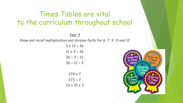Year 4

*Know and recall multiplication and division facts for 6, 7, 9, 11 and 12*

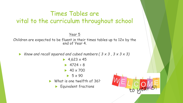#### Year 5

Children are expected to be fluent in their times tables up to 12x by the end of Year 4.

*Know and recall squared and cubed numbers ( 3 x 3 , 3 x 3 x 3)*

 $\blacktriangleright$  4,623 x 45  $4724 \div 8$  $\blacktriangleright$  40 x 700  $\blacktriangleright$  5 x 90 What is one twelfth of 36? **Equivalent fractions** 

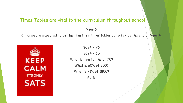#### Year 6

Children are expected to be fluent in their times tables up to 12x by the end of Year 4.



3624 x 76

 $3624 \div 65$ 

What is nine tenths of 70?

What is 60% of 300?

What is 71% of 1800?

Ratio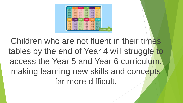| <b>APRILE</b><br>126,992<br>10212<br>おも抜ける<br>107-8-916<br>設定会の名<br>日本もお客<br>21313<br><b>BASE</b><br><b><i>BERTH</i></b><br><b>AND FR</b><br>41419<br>送信を見<br>本当福井福<br><b>MENTIN</b><br><b>Andrew</b><br>おけ込む者<br><b>B181M</b><br><b>NISSIM</b><br>\$15.50 | 11015                            |
|------------------------------------------------------------------------------------------------------------------------------------------------------------------------------------------------------------------------------------------------------------|----------------------------------|
|                                                                                                                                                                                                                                                            |                                  |
|                                                                                                                                                                                                                                                            | 87499                            |
|                                                                                                                                                                                                                                                            | A-1 & 1 M                        |
|                                                                                                                                                                                                                                                            | 電子電子 新<br>地方最后期                  |
| 地址设计师<br><b>NETER</b><br>NEBITA<br>\$16,728<br><b>STATIST</b><br><b>BEETH</b><br><b>BEFER</b><br>33311<br>818126<br>211112                                                                                                                                 | 101111-004                       |
| <b>TILES</b><br>进出售的数<br>进行基本器<br>PETER<br>21112                                                                                                                                                                                                           | 11014                            |
| <b>BETHE</b><br>31311<br><b>British</b><br>建压压反应<br>\$1,51.95                                                                                                                                                                                              | <b>BIRTH</b>                     |
| <b>Birduk</b><br><b>Buba 35</b><br>312111<br>等圧長は解<br>911149                                                                                                                                                                                               | 1111111                          |
| <b>MITER</b><br>101131100<br>2011/01/04<br>1911-1-1-0-0<br><b><i>DELL'ALL'AM</i></b>                                                                                                                                                                       | <b>WY FEILER</b>                 |
| <b>MAYER</b><br>世上は三神<br><b>FLY EXIGE</b><br><b>With Street</b><br><b><i>MANDRE</i></b>                                                                                                                                                                    | <b>WILLIAM</b>                   |
| <b>BELLEN</b><br><b>MEXICO</b><br>14 1 3 1 3 8<br>814146<br>14 x 9 x 8 8                                                                                                                                                                                   | 43 11 81 11 11                   |
| <b>No Selecte</b><br><b>The turble</b><br><b>Bu table</b><br><b>HOw Earlier</b>                                                                                                                                                                            | <b>The tunda</b>                 |
| <b>NATAL</b><br><b>TANAN</b><br>1410-438<br>54745<br>24.8419                                                                                                                                                                                               | 1430430                          |
| <b>BATHIN</b><br>5日第一16<br>212130<br>8 × 10 × 10<br><b>E-M-IX</b>                                                                                                                                                                                          | E-170-34                         |
| 活動をも置<br>$3 + 8 + 54$<br>$2 + 1 + 27$<br>1970-30<br>3 = 11 = 24                                                                                                                                                                                            | 日本電子製                            |
| <b>Av 7 4 70</b><br>$4 - 4 - 10$<br><b>Let's To</b><br>4135145<br><b>BOYTHAM</b>                                                                                                                                                                           | <b><i><u>A + 70 + 44</u></i></b> |
| <b>SATAR</b><br>$3 + 8 + 65$<br>513140<br>1410-100<br>$8 - 12 - 34$<br><b>B-18-154</b><br>817140<br>新社賞 のあ<br>8130130<br>後の間の制                                                                                                                             | A-102-4-04<br>$1 - 10 - 10$      |
| すめ取らか<br>7.4.7 + 441<br>デルマス国王<br>する時に関<br><b>T+15479</b>                                                                                                                                                                                                  | 7102134                          |
| まりまとか<br><b>EXT436</b><br><b>BARATS</b><br>8 + 10 + 80<br>運動関系数                                                                                                                                                                                            | <b><i>B + TC + TH</i></b>        |
| $\mathbf{H} = \mathbf{B} + \mathbf{M}$<br>8410-188<br><b>B+T+43</b><br>マッドッパ!<br><b>By 15 + 16</b>                                                                                                                                                         | <b>KY BI-MA</b>                  |
| <b>M-4 8 4 NB</b><br>10113-018<br><b>BE &amp; RD &amp; WOR</b><br><b>Mix 10 + 410</b><br>M-4.7 + 70                                                                                                                                                        | <b>M-4 N + EM</b>                |
| $3 - 1 - 17$<br>第一条の場所<br><b>18-1 W = P6</b><br>$H = 10 + 0.6$<br>日→四→初<br>18 + 7 + 44<br>$11 - 10 - 100$<br>理解する<br>切りをいる<br><b>ID-11-108</b><br>$11 - 14 - 18$                                                                                           | 日本語の言<br>ink saving              |

Children who are not fluent in their times tables by the end of Year 4 will struggle to access the Year 5 and Year 6 curriculum, making learning new skills and concepts far more difficult.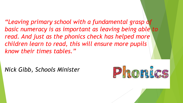*"Leaving primary school with a fundamental grasp of basic numeracy is as important as leaving being able to read. And just as the phonics check has helped more children learn to read, this will ensure more pupils know their times tables."*

*Nick Gibb, Schools Minister*

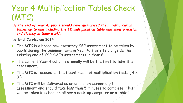# Year 4 Multiplication Tables Check (MTC)

*'By the end of year 4, pupils should have memorised their multiplication tables up to and including the 12 multiplication table and show precision and fluency in their work'.*

**National Curriculum 2014**

- The MTC is a brand new statutory KS2 assessment to be taken by pupils during the Summer term in Year 4. This sits alongside the existing end of KS2 SATs assessments in Year 6.
- ▶ The current Year 4 cohort nationally will be the first to take this assessment.
- $\triangleright$  The MTC is focused on the fluent recall of multiplication facts (4  $\times$ 9 ).
- ▶ The MTC will be delivered as an online, on-screen digital assessment and should take less than 5 minutes to complete. This will be taken in school on either a desktop computer or a tablet.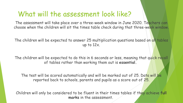### What will the assessment look like?

The assessment will take place over a three-week window in June 2020. Teachers can choose when the children will sit the times table check during that three-week window.

The children will be expected to answer 25 multiplication questions based on all tables up to 12x.

The children will be expected to do this in 6 seconds or less, meaning that quick recall of tables rather than working them out is **essential.**

The test will be scored automatically and will be marked out of 25. Data will be reported back to schools, parents and pupils as a score out of 25.

Children will only be considered to be fluent in their times tables if they achieve **full marks** in the assessment.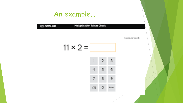### An example...

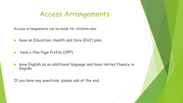### Access Arrangements

Access arrangements can be made for children who:

- have an Education, Health and Care (EHC) plan
- **have a One Page Profile (OPP)**
- have English as an additional language and have limited fluency in English

If you have any questions, please ask at the end.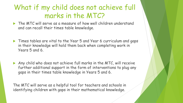### What if my child does not achieve full marks in the MTC?

- The MTC will serve as a measure of how well children understand and can recall their times table knowledge.
- **Times tables are vital to the Year 5 and Year 6 curriculum and gaps** in their knowledge will hold them back when completing work in Years 5 and 6.
- Any child who does not achieve full marks in the MTC, will receive further additional support in the form of interventions to plug any gaps in their times table knowledge in Years 5 and 6.

The MTC will serve as a helpful tool for teachers and schools in identifying children with gaps in their mathematical knowledge.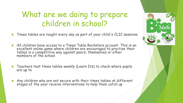## What are we doing to prepare children in school?

- Times tables are taught every day as part of your child's CLIC sessions
- All children have access to a Times Table Rockstars account. This is an excellent online game where children are encouraged to practise their tables in a competitive way against peers, themselves or other members of the school
- **Teachers test times tables weekly (Learn Its) to check where pupils** are up to
- Any children who are not secure with their times tables at different stages of the year receive interventions to help them catch up

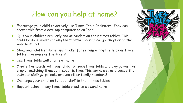### How can you help at home?

- Encourage your child to actively use Times Table Rockstars. They can access this from a desktop computer or an Ipad
- Quiz your children regularly and at random on their times tables. This could be done whilst cooking tea together, during car journeys or on the walk to school
- Show your children some fun 'tricks' for remembering the trickier times tables, like nines or the sevens
- Use times table wall charts at home
- Create flashcards with your child for each times table and play games like snap or matching them up in specific time. This works well as a competition between siblings, parents or even other family members!
- Challenge your children to 'beat Siri' in their times tables!
- Support school in any times table practice we send home